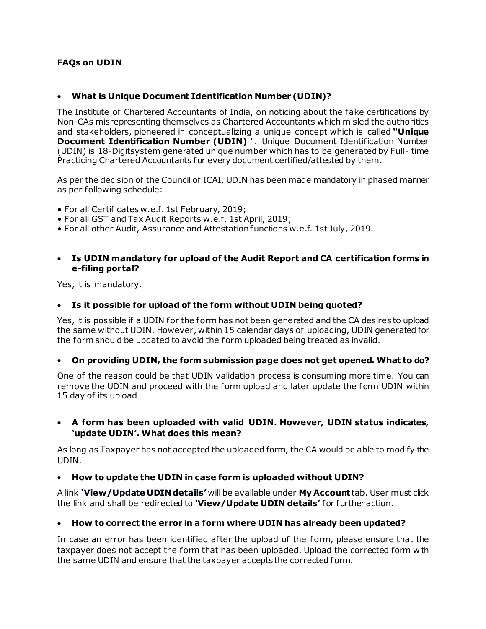### **FAQs on UDIN**

#### • **What is Unique Document Identification Number (UDIN)?**

The Institute of Chartered Accountants of India, on noticing about the fake certifications by Non-CAs misrepresenting themselves as Chartered Accountants which misled the authorities and stakeholders, pioneered in conceptualizing a unique concept which is called **"Unique Document Identification Number (UDIN)** ". Unique Document Identification Number (UDIN) is 18-Digitsystem generated unique number which has to be generated by Full- time Practicing Chartered Accountants for every document certified/attested by them.

As per the decision of the Council of ICAI, UDIN has been made mandatory in phased manner as per following schedule:

- For all Certificates w.e.f. 1st February, 2019;
- For all GST and Tax Audit Reports w.e.f. 1st April, 2019;
- For all other Audit, Assurance and Attestation functions w.e.f. 1st July, 2019.

#### • **Is UDIN mandatory for upload of the Audit Report and CA certification forms in e-filing portal?**

Yes, it is mandatory.

#### • **Is it possible for upload of the form without UDIN being quoted?**

Yes, it is possible if a UDIN for the form has not been generated and the CA desires to upload the same without UDIN. However, within 15 calendar days of uploading, UDIN generated for the form should be updated to avoid the form uploaded being treated as invalid.

#### • **On providing UDIN, the form submission page does not get opened. What to do?**

One of the reason could be that UDIN validation process is consuming more time. You can remove the UDIN and proceed with the form upload and later update the form UDIN within 15 day of its upload

#### • **A form has been uploaded with valid UDIN. However, UDIN status indicates, 'update UDIN'. What does this mean?**

As long as Taxpayer has not accepted the uploaded form, the CA would be able to modify the UDIN.

#### • **How to update the UDIN in case form is uploaded without UDIN?**

A link **'View/Update UDIN details'** will be available under **My Account** tab. User must click the link and shall be redirected to **'View/Update UDIN details'** for further action.

#### • **How to correct the error in a form where UDIN has already been updated?**

In case an error has been identified after the upload of the form, please ensure that the taxpayer does not accept the form that has been uploaded. Upload the corrected form with the same UDIN and ensure that the taxpayer accepts the corrected form.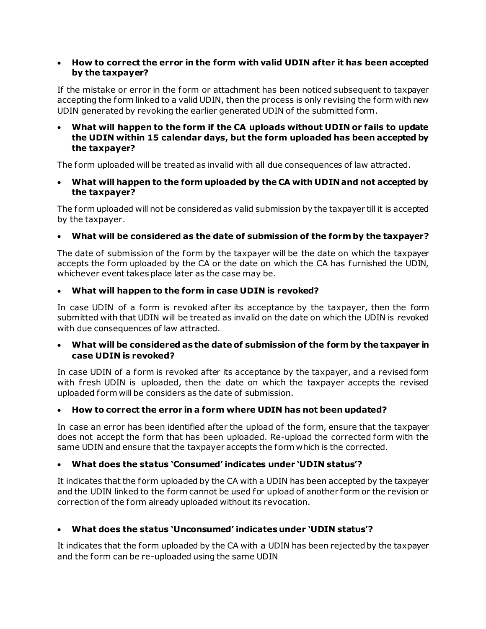### • **How to correct the error in the form with valid UDIN after it has been accepted by the taxpayer?**

If the mistake or error in the form or attachment has been noticed subsequent to taxpayer accepting the form linked to a valid UDIN, then the process is only revising the form with new UDIN generated by revoking the earlier generated UDIN of the submitted form.

### • **What will happen to the form if the CA uploads without UDIN or fails to update the UDIN within 15 calendar days, but the form uploaded has been accepted by the taxpayer?**

The form uploaded will be treated as invalid with all due consequences of law attracted.

• **What will happen to the form uploaded by the CA with UDIN and not accepted by the taxpayer?**

The form uploaded will not be considered as valid submission by the taxpayer till it is accepted by the taxpayer.

# • **What will be considered as the date of submission of the form by the taxpayer?**

The date of submission of the form by the taxpayer will be the date on which the taxpayer accepts the form uploaded by the CA or the date on which the CA has furnished the UDIN, whichever event takes place later as the case may be.

## • **What will happen to the form in case UDIN is revoked?**

In case UDIN of a form is revoked after its acceptance by the taxpayer, then the form submitted with that UDIN will be treated as invalid on the date on which the UDIN is revoked with due consequences of law attracted.

### • **What will be considered as the date of submission of the form by the taxpayer in case UDIN is revoked?**

In case UDIN of a form is revoked after its acceptance by the taxpayer, and a revised form with fresh UDIN is uploaded, then the date on which the taxpayer accepts the revised uploaded form will be considers as the date of submission.

## • **How to correct the error in a form where UDIN has not been updated?**

In case an error has been identified after the upload of the form, ensure that the taxpayer does not accept the form that has been uploaded. Re-upload the corrected form with the same UDIN and ensure that the taxpayer accepts the form which is the corrected.

## • **What does the status 'Consumed' indicates under 'UDIN status'?**

It indicates that the form uploaded by the CA with a UDIN has been accepted by the taxpayer and the UDIN linked to the form cannot be used for upload of another form or the revision or correction of the form already uploaded without its revocation.

## • **What does the status 'Unconsumed' indicates under 'UDIN status'?**

It indicates that the form uploaded by the CA with a UDIN has been rejected by the taxpayer and the form can be re-uploaded using the same UDIN